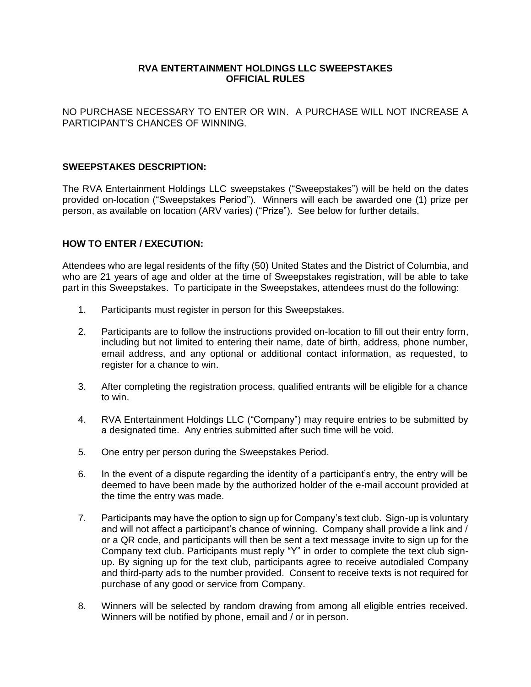# **RVA ENTERTAINMENT HOLDINGS LLC SWEEPSTAKES OFFICIAL RULES**

NO PURCHASE NECESSARY TO ENTER OR WIN. A PURCHASE WILL NOT INCREASE A PARTICIPANT'S CHANCES OF WINNING.

# **SWEEPSTAKES DESCRIPTION:**

The RVA Entertainment Holdings LLC sweepstakes ("Sweepstakes") will be held on the dates provided on-location ("Sweepstakes Period"). Winners will each be awarded one (1) prize per person, as available on location (ARV varies) ("Prize"). See below for further details.

# **HOW TO ENTER / EXECUTION:**

Attendees who are legal residents of the fifty (50) United States and the District of Columbia, and who are 21 years of age and older at the time of Sweepstakes registration, will be able to take part in this Sweepstakes. To participate in the Sweepstakes, attendees must do the following:

- 1. Participants must register in person for this Sweepstakes.
- 2. Participants are to follow the instructions provided on-location to fill out their entry form, including but not limited to entering their name, date of birth, address, phone number, email address, and any optional or additional contact information, as requested, to register for a chance to win.
- 3. After completing the registration process, qualified entrants will be eligible for a chance to win.
- 4. RVA Entertainment Holdings LLC ("Company") may require entries to be submitted by a designated time. Any entries submitted after such time will be void.
- 5. One entry per person during the Sweepstakes Period.
- 6. In the event of a dispute regarding the identity of a participant's entry, the entry will be deemed to have been made by the authorized holder of the e-mail account provided at the time the entry was made.
- 7. Participants may have the option to sign up for Company's text club. Sign-up is voluntary and will not affect a participant's chance of winning. Company shall provide a link and / or a QR code, and participants will then be sent a text message invite to sign up for the Company text club. Participants must reply "Y" in order to complete the text club signup. By signing up for the text club, participants agree to receive autodialed Company and third-party ads to the number provided. Consent to receive texts is not required for purchase of any good or service from Company.
- 8. Winners will be selected by random drawing from among all eligible entries received. Winners will be notified by phone, email and / or in person.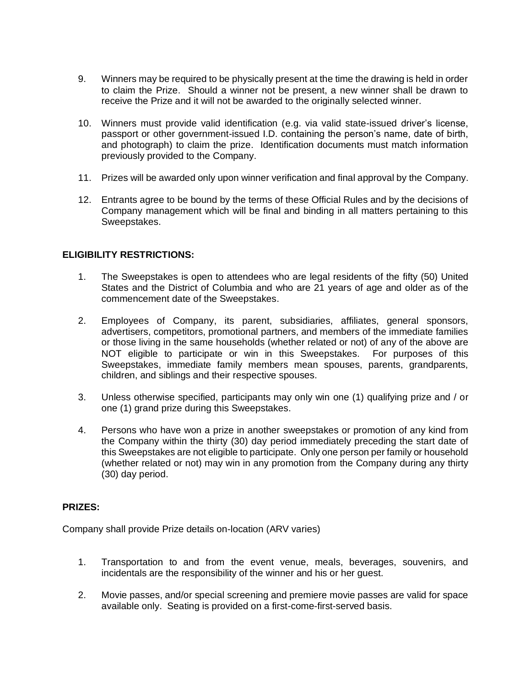- 9. Winners may be required to be physically present at the time the drawing is held in order to claim the Prize. Should a winner not be present, a new winner shall be drawn to receive the Prize and it will not be awarded to the originally selected winner.
- 10. Winners must provide valid identification (e.g. via valid state-issued driver's license, passport or other government-issued I.D. containing the person's name, date of birth, and photograph) to claim the prize. Identification documents must match information previously provided to the Company.
- 11. Prizes will be awarded only upon winner verification and final approval by the Company.
- 12. Entrants agree to be bound by the terms of these Official Rules and by the decisions of Company management which will be final and binding in all matters pertaining to this Sweepstakes.

# **ELIGIBILITY RESTRICTIONS:**

- 1. The Sweepstakes is open to attendees who are legal residents of the fifty (50) United States and the District of Columbia and who are 21 years of age and older as of the commencement date of the Sweepstakes.
- 2. Employees of Company, its parent, subsidiaries, affiliates, general sponsors, advertisers, competitors, promotional partners, and members of the immediate families or those living in the same households (whether related or not) of any of the above are NOT eligible to participate or win in this Sweepstakes. For purposes of this Sweepstakes, immediate family members mean spouses, parents, grandparents, children, and siblings and their respective spouses.
- 3. Unless otherwise specified, participants may only win one (1) qualifying prize and / or one (1) grand prize during this Sweepstakes.
- 4. Persons who have won a prize in another sweepstakes or promotion of any kind from the Company within the thirty (30) day period immediately preceding the start date of this Sweepstakes are not eligible to participate. Only one person per family or household (whether related or not) may win in any promotion from the Company during any thirty (30) day period.

#### **PRIZES:**

Company shall provide Prize details on-location (ARV varies)

- 1. Transportation to and from the event venue, meals, beverages, souvenirs, and incidentals are the responsibility of the winner and his or her guest.
- 2. Movie passes, and/or special screening and premiere movie passes are valid for space available only. Seating is provided on a first-come-first-served basis.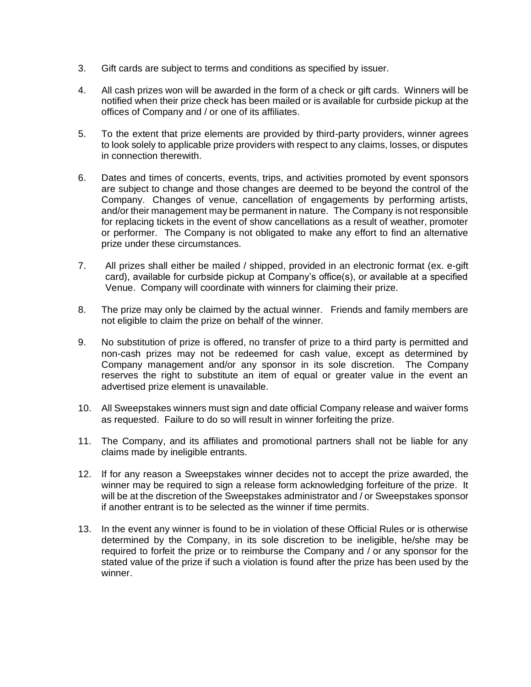- 3. Gift cards are subject to terms and conditions as specified by issuer.
- 4. All cash prizes won will be awarded in the form of a check or gift cards. Winners will be notified when their prize check has been mailed or is available for curbside pickup at the offices of Company and / or one of its affiliates.
- 5. To the extent that prize elements are provided by third-party providers, winner agrees to look solely to applicable prize providers with respect to any claims, losses, or disputes in connection therewith.
- 6. Dates and times of concerts, events, trips, and activities promoted by event sponsors are subject to change and those changes are deemed to be beyond the control of the Company. Changes of venue, cancellation of engagements by performing artists, and/or their management may be permanent in nature. The Company is not responsible for replacing tickets in the event of show cancellations as a result of weather, promoter or performer. The Company is not obligated to make any effort to find an alternative prize under these circumstances.
- 7. All prizes shall either be mailed / shipped, provided in an electronic format (ex. e-gift card), available for curbside pickup at Company's office(s), or available at a specified Venue. Company will coordinate with winners for claiming their prize.
- 8. The prize may only be claimed by the actual winner. Friends and family members are not eligible to claim the prize on behalf of the winner.
- 9. No substitution of prize is offered, no transfer of prize to a third party is permitted and non-cash prizes may not be redeemed for cash value, except as determined by Company management and/or any sponsor in its sole discretion. The Company reserves the right to substitute an item of equal or greater value in the event an advertised prize element is unavailable.
- 10. All Sweepstakes winners must sign and date official Company release and waiver forms as requested. Failure to do so will result in winner forfeiting the prize.
- 11. The Company, and its affiliates and promotional partners shall not be liable for any claims made by ineligible entrants.
- 12. If for any reason a Sweepstakes winner decides not to accept the prize awarded, the winner may be required to sign a release form acknowledging forfeiture of the prize. It will be at the discretion of the Sweepstakes administrator and / or Sweepstakes sponsor if another entrant is to be selected as the winner if time permits.
- 13. In the event any winner is found to be in violation of these Official Rules or is otherwise determined by the Company, in its sole discretion to be ineligible, he/she may be required to forfeit the prize or to reimburse the Company and / or any sponsor for the stated value of the prize if such a violation is found after the prize has been used by the winner.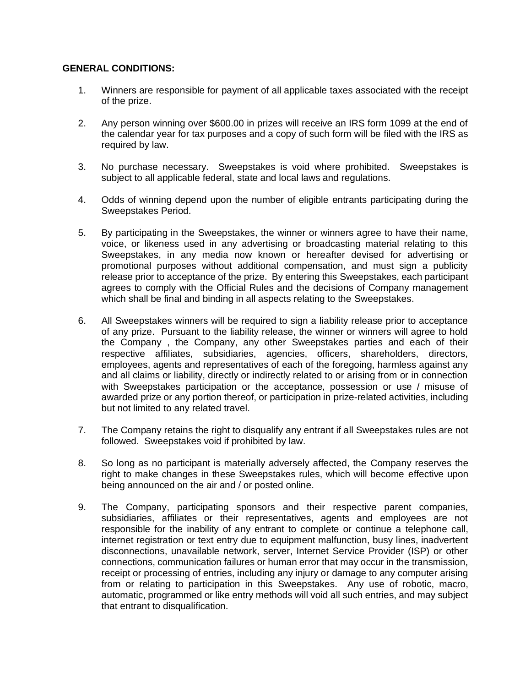# **GENERAL CONDITIONS:**

- 1. Winners are responsible for payment of all applicable taxes associated with the receipt of the prize.
- 2. Any person winning over \$600.00 in prizes will receive an IRS form 1099 at the end of the calendar year for tax purposes and a copy of such form will be filed with the IRS as required by law.
- 3. No purchase necessary. Sweepstakes is void where prohibited. Sweepstakes is subject to all applicable federal, state and local laws and regulations.
- 4. Odds of winning depend upon the number of eligible entrants participating during the Sweepstakes Period.
- 5. By participating in the Sweepstakes, the winner or winners agree to have their name, voice, or likeness used in any advertising or broadcasting material relating to this Sweepstakes, in any media now known or hereafter devised for advertising or promotional purposes without additional compensation, and must sign a publicity release prior to acceptance of the prize. By entering this Sweepstakes, each participant agrees to comply with the Official Rules and the decisions of Company management which shall be final and binding in all aspects relating to the Sweepstakes.
- 6. All Sweepstakes winners will be required to sign a liability release prior to acceptance of any prize. Pursuant to the liability release, the winner or winners will agree to hold the Company , the Company, any other Sweepstakes parties and each of their respective affiliates, subsidiaries, agencies, officers, shareholders, directors, employees, agents and representatives of each of the foregoing, harmless against any and all claims or liability, directly or indirectly related to or arising from or in connection with Sweepstakes participation or the acceptance, possession or use / misuse of awarded prize or any portion thereof, or participation in prize-related activities, including but not limited to any related travel.
- 7. The Company retains the right to disqualify any entrant if all Sweepstakes rules are not followed. Sweepstakes void if prohibited by law.
- 8. So long as no participant is materially adversely affected, the Company reserves the right to make changes in these Sweepstakes rules, which will become effective upon being announced on the air and / or posted online.
- 9. The Company, participating sponsors and their respective parent companies, subsidiaries, affiliates or their representatives, agents and employees are not responsible for the inability of any entrant to complete or continue a telephone call, internet registration or text entry due to equipment malfunction, busy lines, inadvertent disconnections, unavailable network, server, Internet Service Provider (ISP) or other connections, communication failures or human error that may occur in the transmission, receipt or processing of entries, including any injury or damage to any computer arising from or relating to participation in this Sweepstakes. Any use of robotic, macro, automatic, programmed or like entry methods will void all such entries, and may subject that entrant to disqualification.